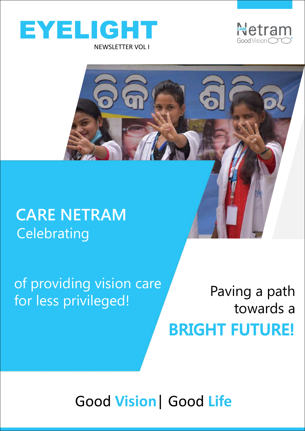



#### **CARE NETRAM Celebrating**

of providing vision care<br>
face leads with the lines of the Paving a path for less privileged!

towards a **BRIGHT FUTURE!**

Good **Vision**| Good **Life**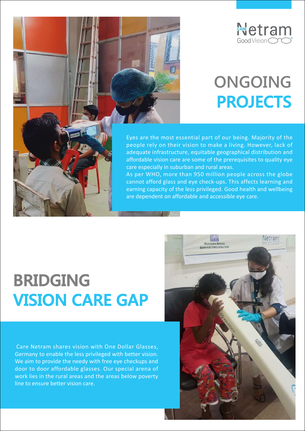

### **ONGOING PROJECTS**



Eyes are the most essential part of our being. Majority of the people rely on their vision to make a living. However, lack of adequate infrastructure, equitable geographical distribution and affordable vision care are some of the prerequisites to quality eye care especially in suburban and rural areas.

As per WHO, more than 950 million people across the globe cannot afford glass and eye check-ups. This affects learning and earning capacity of the less privileged. Good health and wellbeing are dependent on affordable and accessible eye care.

### **BRIDGING VISION CARE GAP**

Care Netram shares vision with One Dollar Glasses, Germany to enable the less privileged with better vision. We aim to provide the needy with free eye checkups and door to door affordable glasses. Our special arena of work lies in the rural areas and the areas below poverty line to ensure better vision care.

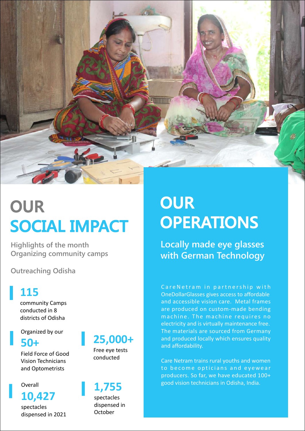

# **OUR<br>SOCIAL IMPACT OPER**

**Highlights of the month Organizing community camps**

**Outreaching Odisha**

#### **115**

community Camps conducted in 8 districts of Odisha

Organized by our

Field Force of Good Vision Technicians and Optometrists

#### Overall

spectacles dispensed in 2021

#### **50+**

Free eye tests conducted

spectacles dispensed in October Overall **1,755**<br>**10,427** spectacles

# **OPERATIONS**

**Locally made eye glasses with German Technology**

Care Netram in partnership with OneDollarGlasses gives access to affordable and accessible vision care. Metal frames are produced on custom-made bending machine. The machine requires no electricity and is virtually maintenance free. The materials are sourced from Germany 25,000+ and produced locally which ensures quality and affordability.

Care Netram trains rural youths and women to become opticians and eyewear producers. So far, we have educated 100+ good vision technicians in Odisha, India. **1,755**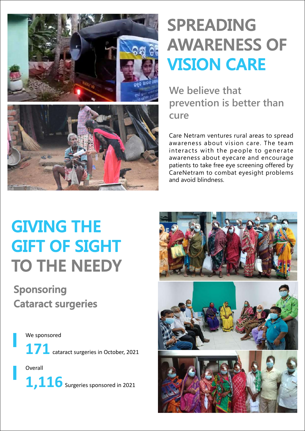

# **SPREADING AWARENESS OF VISION CARE**

**We believe that prevention is better than cure**

Care Netram ventures rural areas to spread awareness about vision care. The team interacts with the people to generate awareness about eyecare and encourage patients to take free eye screening offered by CareNetram to combat eyesight problems and avoid blindness.

# **GIVING THE<br>GIFT OF SIGHT TO THE NEEDY**

# **Sponsoring Cataract surgeries**

We sponsored 171 cataract surgeries in October, 2021

Overall 1,116 Surgeries sponsored in 2021

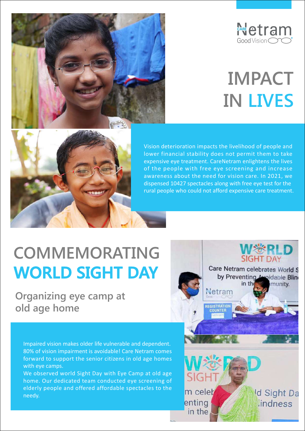

# **IMPACT IN LIVES**



Vision deterioration impacts the livelihood of people and lower financial stability does not permit them to take expensive eye treatment. CareNetram enlightens the lives of the people with free eye screening and increase awareness about the need for vision care. In 2021, we dispensed 10427 spectacles along with free eye test for the rural people who could not afford expensive care treatment.

# **COMMEMORATING WERLD** WORLD SIGHT DAY Care Netram celebrates World S

**Organizing eye camp at All Metrangers old age home**

Impaired vision makes older life vulnerable and dependent. 80% of vision impairment is avoidable! Care Netram comes forward to support the senior citizens in old age homes with eye camps.

We observed world Sight Day with Eye Camp at old age home. Our dedicated team conducted eye screening of elderly people and offered affordable spectacles to the **m** celet needy.

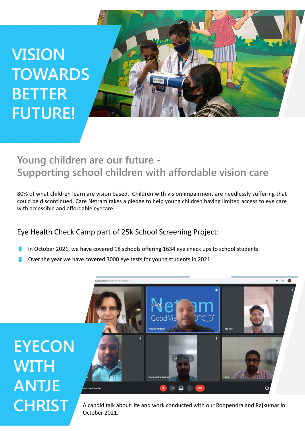# **VISION TOWARDS BETTER FUTURE!**



#### **Young children are our future - Supporting school children with affordable vision care**

80% of what children learn are vision based. Children with vision impairment are needlessly suffering that could be discontinued. Care Netram takes a pledge to help young children having limited access to eye care with accessible and affordable eyecare.

#### Eye Health Check Camp part of 25k School Screening Project:

- In October 2021, we have covered 18 schools offering 1634 eye check ups to school students
- Over the year we have covered 3000 eye tests for young students in 2021



October 2021.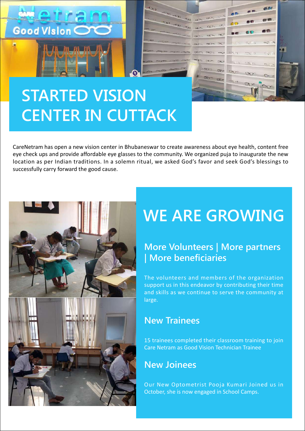

tetra

Good Vision C

CareNetram has open a new vision center in Bhubaneswar to create awareness about eye health, content free eye check ups and provide affordable eye glasses to the community. We organized puja to inaugurate the new location as per Indian traditions. In a solemn ritual, we asked God's favor and seek God's blessings to successfully carry forward the good cause.



### **WE ARE GROWING**

#### **More Volunteers | More partners | More beneficiaries**

The volunteers and members of the organization support us in this endeavor by contributing their time and skills as we continue to serve the community at large.

#### **New Trainees**

15 trainees completed their classroom training to join Care Netram as Good Vision Technician Trainee

#### **New Joinees**

Our New Optometrist Pooja Kumari Joined us in October, she is now engaged in School Camps.